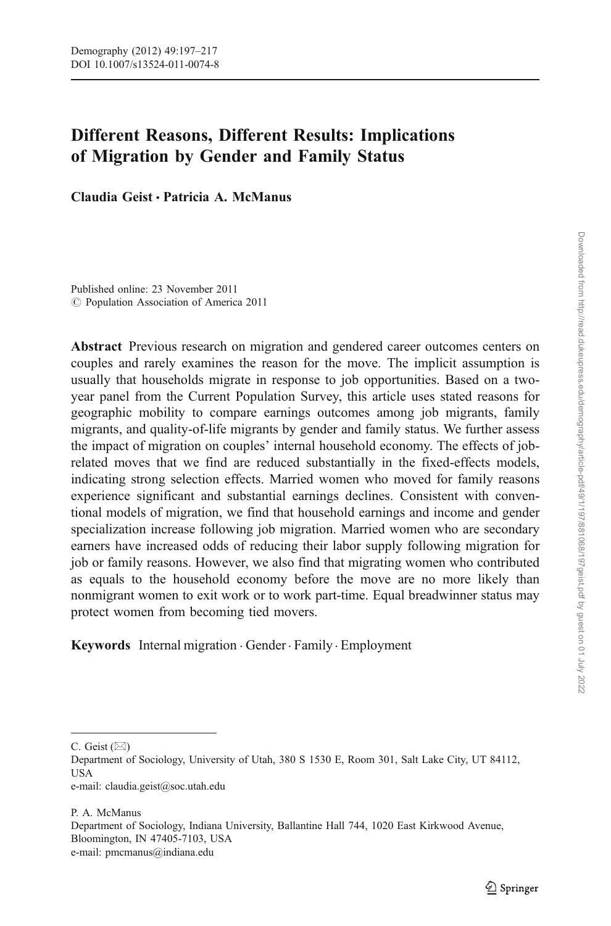# Different Reasons, Different Results: Implications of Migration by Gender and Family Status

Claudia Geist & Patricia A. McManus

Published online: 23 November 2011  $\circ$  Population Association of America 2011

Abstract Previous research on migration and gendered career outcomes centers on couples and rarely examines the reason for the move. The implicit assumption is usually that households migrate in response to job opportunities. Based on a twoyear panel from the Current Population Survey, this article uses stated reasons for geographic mobility to compare earnings outcomes among job migrants, family migrants, and quality-of-life migrants by gender and family status. We further assess the impact of migration on couples' internal household economy. The effects of jobrelated moves that we find are reduced substantially in the fixed-effects models, indicating strong selection effects. Married women who moved for family reasons experience significant and substantial earnings declines. Consistent with conventional models of migration, we find that household earnings and income and gender specialization increase following job migration. Married women who are secondary earners have increased odds of reducing their labor supply following migration for job or family reasons. However, we also find that migrating women who contributed as equals to the household economy before the move are no more likely than nonmigrant women to exit work or to work part-time. Equal breadwinner status may protect women from becoming tied movers.

Keywords Internal migration . Gender. Family . Employment

Department of Sociology, University of Utah, 380 S 1530 E, Room 301, Salt Lake City, UT 84112, USA e-mail: claudia.geist@soc.utah.edu

P. A. McManus Department of Sociology, Indiana University, Ballantine Hall 744, 1020 East Kirkwood Avenue, Bloomington, IN 47405-7103, USA e-mail: pmcmanus@indiana.edu

C. Geist  $(\boxtimes)$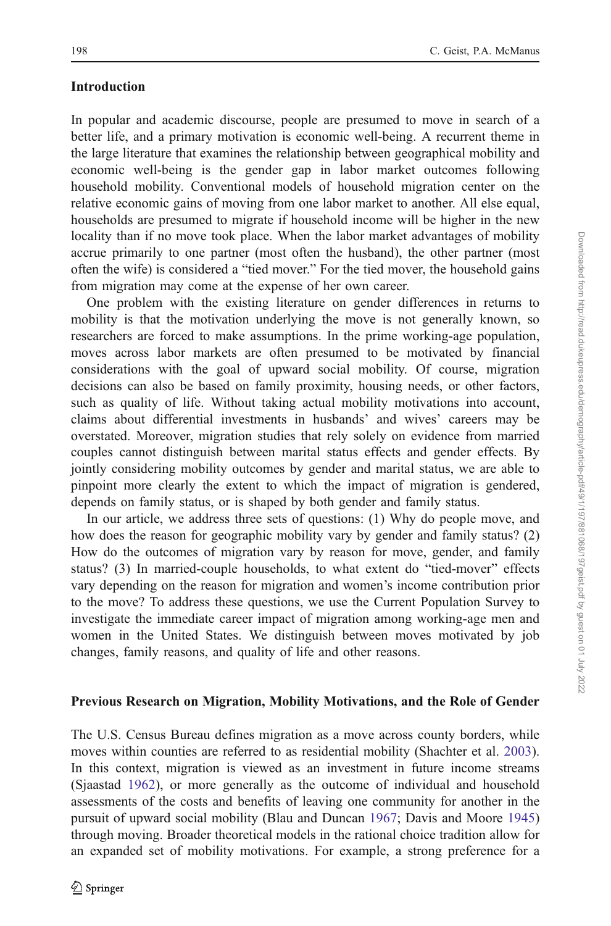# Introduction

In popular and academic discourse, people are presumed to move in search of a better life, and a primary motivation is economic well-being. A recurrent theme in the large literature that examines the relationship between geographical mobility and economic well-being is the gender gap in labor market outcomes following household mobility. Conventional models of household migration center on the relative economic gains of moving from one labor market to another. All else equal, households are presumed to migrate if household income will be higher in the new locality than if no move took place. When the labor market advantages of mobility accrue primarily to one partner (most often the husband), the other partner (most often the wife) is considered a "tied mover." For the tied mover, the household gains from migration may come at the expense of her own career.

One problem with the existing literature on gender differences in returns to mobility is that the motivation underlying the move is not generally known, so researchers are forced to make assumptions. In the prime working-age population, moves across labor markets are often presumed to be motivated by financial considerations with the goal of upward social mobility. Of course, migration decisions can also be based on family proximity, housing needs, or other factors, such as quality of life. Without taking actual mobility motivations into account, claims about differential investments in husbands' and wives' careers may be overstated. Moreover, migration studies that rely solely on evidence from married couples cannot distinguish between marital status effects and gender effects. By jointly considering mobility outcomes by gender and marital status, we are able to pinpoint more clearly the extent to which the impact of migration is gendered, depends on family status, or is shaped by both gender and family status.

In our article, we address three sets of questions: (1) Why do people move, and how does the reason for geographic mobility vary by gender and family status? (2) How do the outcomes of migration vary by reason for move, gender, and family status? (3) In married-couple households, to what extent do "tied-mover" effects vary depending on the reason for migration and women's income contribution prior to the move? To address these questions, we use the Current Population Survey to investigate the immediate career impact of migration among working-age men and women in the United States. We distinguish between moves motivated by job changes, family reasons, and quality of life and other reasons.

# Previous Research on Migration, Mobility Motivations, and the Role of Gender

The U.S. Census Bureau defines migration as a move across county borders, while moves within counties are referred to as residential mobility (Shachter et al. [2003\)](#page-20-0). In this context, migration is viewed as an investment in future income streams (Sjaastad [1962\)](#page-20-0), or more generally as the outcome of individual and household assessments of the costs and benefits of leaving one community for another in the pursuit of upward social mobility (Blau and Duncan [1967;](#page-19-0) Davis and Moore [1945](#page-20-0)) through moving. Broader theoretical models in the rational choice tradition allow for an expanded set of mobility motivations. For example, a strong preference for a Downloaded from http://read.dukeupress.edu/demography/article-pdf/49/1/197/881068/197geist.pdf by guest on 01 July 2022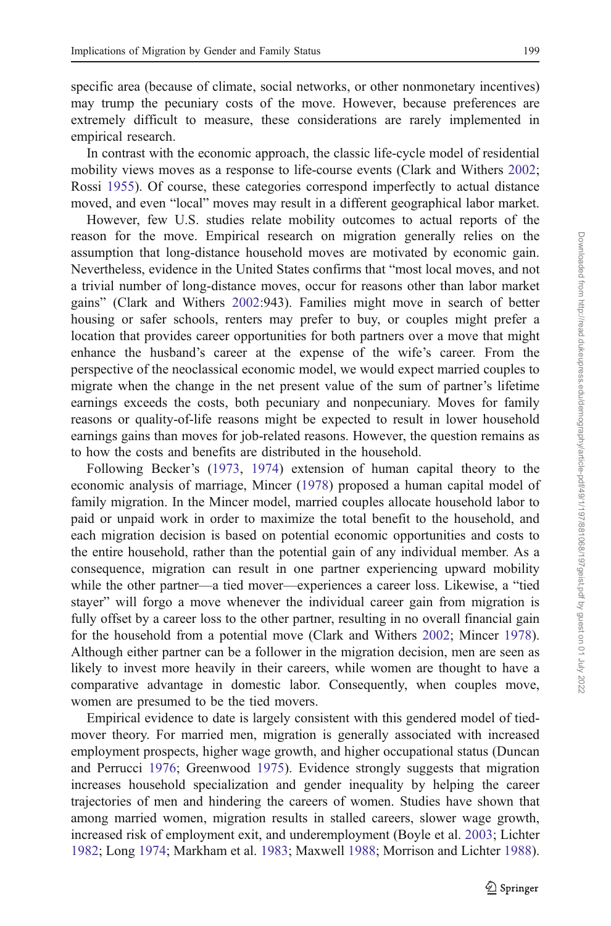specific area (because of climate, social networks, or other nonmonetary incentives) may trump the pecuniary costs of the move. However, because preferences are extremely difficult to measure, these considerations are rarely implemented in empirical research.

In contrast with the economic approach, the classic life-cycle model of residential mobility views moves as a response to life-course events (Clark and Withers [2002;](#page-19-0) Rossi [1955\)](#page-20-0). Of course, these categories correspond imperfectly to actual distance moved, and even "local" moves may result in a different geographical labor market.

However, few U.S. studies relate mobility outcomes to actual reports of the reason for the move. Empirical research on migration generally relies on the assumption that long-distance household moves are motivated by economic gain. Nevertheless, evidence in the United States confirms that "most local moves, and not a trivial number of long-distance moves, occur for reasons other than labor market gains" (Clark and Withers [2002:](#page-19-0)943). Families might move in search of better housing or safer schools, renters may prefer to buy, or couples might prefer a location that provides career opportunities for both partners over a move that might enhance the husband's career at the expense of the wife's career. From the perspective of the neoclassical economic model, we would expect married couples to migrate when the change in the net present value of the sum of partner's lifetime earnings exceeds the costs, both pecuniary and nonpecuniary. Moves for family reasons or quality-of-life reasons might be expected to result in lower household earnings gains than moves for job-related reasons. However, the question remains as to how the costs and benefits are distributed in the household.

Following Becker's ([1973,](#page-19-0) [1974\)](#page-19-0) extension of human capital theory to the economic analysis of marriage, Mincer ([1978\)](#page-20-0) proposed a human capital model of family migration. In the Mincer model, married couples allocate household labor to paid or unpaid work in order to maximize the total benefit to the household, and each migration decision is based on potential economic opportunities and costs to the entire household, rather than the potential gain of any individual member. As a consequence, migration can result in one partner experiencing upward mobility while the other partner—a tied mover—experiences a career loss. Likewise, a "tied stayer" will forgo a move whenever the individual career gain from migration is fully offset by a career loss to the other partner, resulting in no overall financial gain for the household from a potential move (Clark and Withers [2002;](#page-19-0) Mincer [1978\)](#page-20-0). Although either partner can be a follower in the migration decision, men are seen as likely to invest more heavily in their careers, while women are thought to have a comparative advantage in domestic labor. Consequently, when couples move, women are presumed to be the tied movers.

Empirical evidence to date is largely consistent with this gendered model of tiedmover theory. For married men, migration is generally associated with increased employment prospects, higher wage growth, and higher occupational status (Duncan and Perrucci [1976;](#page-20-0) Greenwood [1975\)](#page-20-0). Evidence strongly suggests that migration increases household specialization and gender inequality by helping the career trajectories of men and hindering the careers of women. Studies have shown that among married women, migration results in stalled careers, slower wage growth, increased risk of employment exit, and underemployment (Boyle et al. [2003;](#page-19-0) Lichter [1982;](#page-20-0) Long [1974;](#page-20-0) Markham et al. [1983](#page-20-0); Maxwell [1988](#page-20-0); Morrison and Lichter [1988\)](#page-20-0).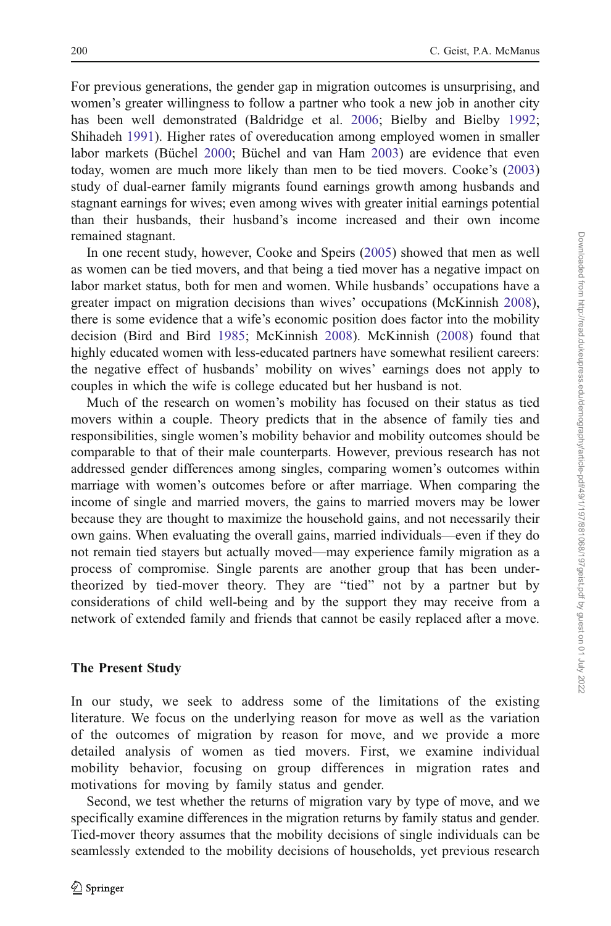For previous generations, the gender gap in migration outcomes is unsurprising, and women's greater willingness to follow a partner who took a new job in another city has been well demonstrated (Baldridge et al. [2006;](#page-19-0) Bielby and Bielby [1992;](#page-19-0) Shihadeh [1991](#page-20-0)). Higher rates of overeducation among employed women in smaller labor markets (Büchel [2000;](#page-19-0) Büchel and van Ham [2003](#page-19-0)) are evidence that even today, women are much more likely than men to be tied movers. Cooke's [\(2003](#page-20-0)) study of dual-earner family migrants found earnings growth among husbands and stagnant earnings for wives; even among wives with greater initial earnings potential than their husbands, their husband's income increased and their own income remained stagnant.

In one recent study, however, Cooke and Speirs [\(2005](#page-20-0)) showed that men as well as women can be tied movers, and that being a tied mover has a negative impact on labor market status, both for men and women. While husbands' occupations have a greater impact on migration decisions than wives' occupations (McKinnish [2008\)](#page-20-0), there is some evidence that a wife's economic position does factor into the mobility decision (Bird and Bird [1985;](#page-19-0) McKinnish [2008\)](#page-20-0). McKinnish [\(2008](#page-20-0)) found that highly educated women with less-educated partners have somewhat resilient careers: the negative effect of husbands' mobility on wives' earnings does not apply to couples in which the wife is college educated but her husband is not.

Much of the research on women's mobility has focused on their status as tied movers within a couple. Theory predicts that in the absence of family ties and responsibilities, single women's mobility behavior and mobility outcomes should be comparable to that of their male counterparts. However, previous research has not addressed gender differences among singles, comparing women's outcomes within marriage with women's outcomes before or after marriage. When comparing the income of single and married movers, the gains to married movers may be lower because they are thought to maximize the household gains, and not necessarily their own gains. When evaluating the overall gains, married individuals—even if they do not remain tied stayers but actually moved—may experience family migration as a process of compromise. Single parents are another group that has been undertheorized by tied-mover theory. They are "tied" not by a partner but by considerations of child well-being and by the support they may receive from a network of extended family and friends that cannot be easily replaced after a move.

# The Present Study

In our study, we seek to address some of the limitations of the existing literature. We focus on the underlying reason for move as well as the variation of the outcomes of migration by reason for move, and we provide a more detailed analysis of women as tied movers. First, we examine individual mobility behavior, focusing on group differences in migration rates and motivations for moving by family status and gender.

Second, we test whether the returns of migration vary by type of move, and we specifically examine differences in the migration returns by family status and gender. Tied-mover theory assumes that the mobility decisions of single individuals can be seamlessly extended to the mobility decisions of households, yet previous research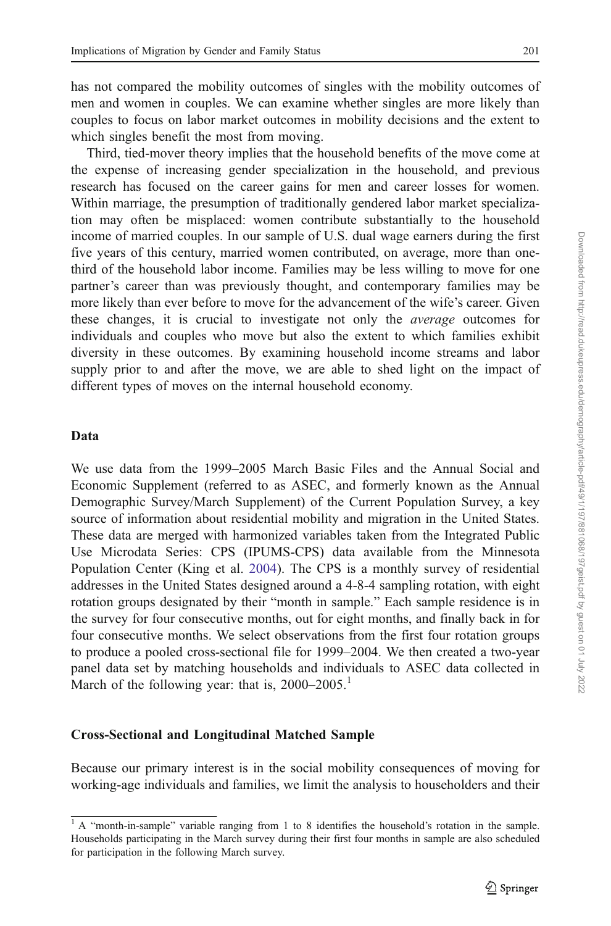has not compared the mobility outcomes of singles with the mobility outcomes of men and women in couples. We can examine whether singles are more likely than couples to focus on labor market outcomes in mobility decisions and the extent to which singles benefit the most from moving.

Third, tied-mover theory implies that the household benefits of the move come at the expense of increasing gender specialization in the household, and previous research has focused on the career gains for men and career losses for women. Within marriage, the presumption of traditionally gendered labor market specialization may often be misplaced: women contribute substantially to the household income of married couples. In our sample of U.S. dual wage earners during the first five years of this century, married women contributed, on average, more than onethird of the household labor income. Families may be less willing to move for one partner's career than was previously thought, and contemporary families may be more likely than ever before to move for the advancement of the wife's career. Given these changes, it is crucial to investigate not only the average outcomes for individuals and couples who move but also the extent to which families exhibit diversity in these outcomes. By examining household income streams and labor supply prior to and after the move, we are able to shed light on the impact of different types of moves on the internal household economy.

#### Data

We use data from the 1999–2005 March Basic Files and the Annual Social and Economic Supplement (referred to as ASEC, and formerly known as the Annual Demographic Survey/March Supplement) of the Current Population Survey, a key source of information about residential mobility and migration in the United States. These data are merged with harmonized variables taken from the Integrated Public Use Microdata Series: CPS (IPUMS-CPS) data available from the Minnesota Population Center (King et al. [2004](#page-20-0)). The CPS is a monthly survey of residential addresses in the United States designed around a 4-8-4 sampling rotation, with eight rotation groups designated by their "month in sample." Each sample residence is in the survey for four consecutive months, out for eight months, and finally back in for four consecutive months. We select observations from the first four rotation groups to produce a pooled cross-sectional file for 1999–2004. We then created a two-year panel data set by matching households and individuals to ASEC data collected in March of the following year: that is,  $2000-2005$ .<sup>1</sup>

## Cross-Sectional and Longitudinal Matched Sample

Because our primary interest is in the social mobility consequences of moving for working-age individuals and families, we limit the analysis to householders and their

 $\overline{1}$  A "month-in-sample" variable ranging from 1 to 8 identifies the household's rotation in the sample. Households participating in the March survey during their first four months in sample are also scheduled for participation in the following March survey.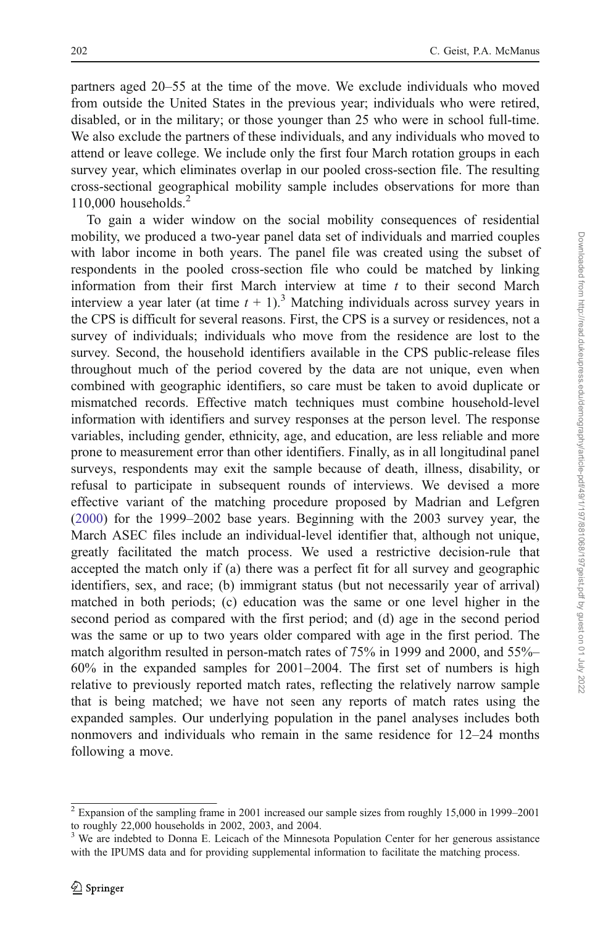partners aged 20–55 at the time of the move. We exclude individuals who moved from outside the United States in the previous year; individuals who were retired, disabled, or in the military; or those younger than 25 who were in school full-time. We also exclude the partners of these individuals, and any individuals who moved to attend or leave college. We include only the first four March rotation groups in each survey year, which eliminates overlap in our pooled cross-section file. The resulting cross-sectional geographical mobility sample includes observations for more than 110,000 households. $2$ 

To gain a wider window on the social mobility consequences of residential mobility, we produced a two-year panel data set of individuals and married couples with labor income in both years. The panel file was created using the subset of respondents in the pooled cross-section file who could be matched by linking information from their first March interview at time  $t$  to their second March interview a year later (at time  $t + 1$ ).<sup>3</sup> Matching individuals across survey years in the CPS is difficult for several reasons. First, the CPS is a survey or residences, not a survey of individuals; individuals who move from the residence are lost to the survey. Second, the household identifiers available in the CPS public-release files throughout much of the period covered by the data are not unique, even when combined with geographic identifiers, so care must be taken to avoid duplicate or mismatched records. Effective match techniques must combine household-level information with identifiers and survey responses at the person level. The response variables, including gender, ethnicity, age, and education, are less reliable and more prone to measurement error than other identifiers. Finally, as in all longitudinal panel surveys, respondents may exit the sample because of death, illness, disability, or refusal to participate in subsequent rounds of interviews. We devised a more effective variant of the matching procedure proposed by Madrian and Lefgren [\(2000](#page-20-0)) for the 1999–2002 base years. Beginning with the 2003 survey year, the March ASEC files include an individual-level identifier that, although not unique, greatly facilitated the match process. We used a restrictive decision-rule that accepted the match only if (a) there was a perfect fit for all survey and geographic identifiers, sex, and race; (b) immigrant status (but not necessarily year of arrival) matched in both periods; (c) education was the same or one level higher in the second period as compared with the first period; and (d) age in the second period was the same or up to two years older compared with age in the first period. The match algorithm resulted in person-match rates of 75% in 1999 and 2000, and 55%– 60% in the expanded samples for 2001–2004. The first set of numbers is high relative to previously reported match rates, reflecting the relatively narrow sample that is being matched; we have not seen any reports of match rates using the expanded samples. Our underlying population in the panel analyses includes both nonmovers and individuals who remain in the same residence for 12–24 months following a move.

Downloaded from http://read.dukeupress.edu/demography/article-pdf49/1/197/881088/197geist.pdf by guest on 01 July 2022 Downloaded from http://read.dukeupress.edu/demography/article-pdf/49/1/197/881068/197geist.pdf by guest on 01 July 2022

 $2$  Expansion of the sampling frame in 2001 increased our sample sizes from roughly 15,000 in 1999–2001 to roughly 22,000 households in 2002, 2003, and 2004.

<sup>&</sup>lt;sup>3</sup> We are indebted to Donna E. Leicach of the Minnesota Population Center for her generous assistance with the IPUMS data and for providing supplemental information to facilitate the matching process.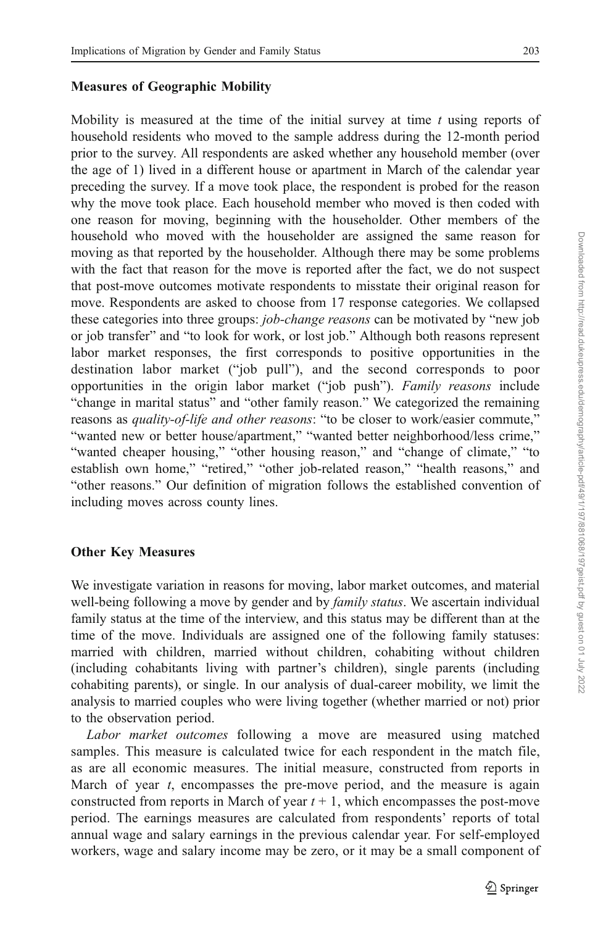# Downloaded from http://read.dukeupress.edu/demography/article-pdf/49/1/197/881068/197geist.pdf by guest on 01 July 2022 Downloaded from http://read.dukeupress.edu/demography/article-pdf/49/1/197/881068/197geist.pdf by guest on 01 July 2022

# Measures of Geographic Mobility

Mobility is measured at the time of the initial survey at time  $t$  using reports of household residents who moved to the sample address during the 12-month period prior to the survey. All respondents are asked whether any household member (over the age of 1) lived in a different house or apartment in March of the calendar year preceding the survey. If a move took place, the respondent is probed for the reason why the move took place. Each household member who moved is then coded with one reason for moving, beginning with the householder. Other members of the household who moved with the householder are assigned the same reason for moving as that reported by the householder. Although there may be some problems with the fact that reason for the move is reported after the fact, we do not suspect that post-move outcomes motivate respondents to misstate their original reason for move. Respondents are asked to choose from 17 response categories. We collapsed these categories into three groups: *job-change reasons* can be motivated by "new job or job transfer" and "to look for work, or lost job." Although both reasons represent labor market responses, the first corresponds to positive opportunities in the destination labor market ("job pull"), and the second corresponds to poor opportunities in the origin labor market ("job push"). Family reasons include "change in marital status" and "other family reason." We categorized the remaining reasons as quality-of-life and other reasons: "to be closer to work/easier commute," "wanted new or better house/apartment," "wanted better neighborhood/less crime," "wanted cheaper housing," "other housing reason," and "change of climate," "to establish own home," "retired," "other job-related reason," "health reasons," and "other reasons." Our definition of migration follows the established convention of including moves across county lines.

# Other Key Measures

We investigate variation in reasons for moving, labor market outcomes, and material well-being following a move by gender and by *family status*. We ascertain individual family status at the time of the interview, and this status may be different than at the time of the move. Individuals are assigned one of the following family statuses: married with children, married without children, cohabiting without children (including cohabitants living with partner's children), single parents (including cohabiting parents), or single. In our analysis of dual-career mobility, we limit the analysis to married couples who were living together (whether married or not) prior to the observation period.

Labor market outcomes following a move are measured using matched samples. This measure is calculated twice for each respondent in the match file, as are all economic measures. The initial measure, constructed from reports in March of year  $t$ , encompasses the pre-move period, and the measure is again constructed from reports in March of year  $t + 1$ , which encompasses the post-move period. The earnings measures are calculated from respondents' reports of total annual wage and salary earnings in the previous calendar year. For self-employed workers, wage and salary income may be zero, or it may be a small component of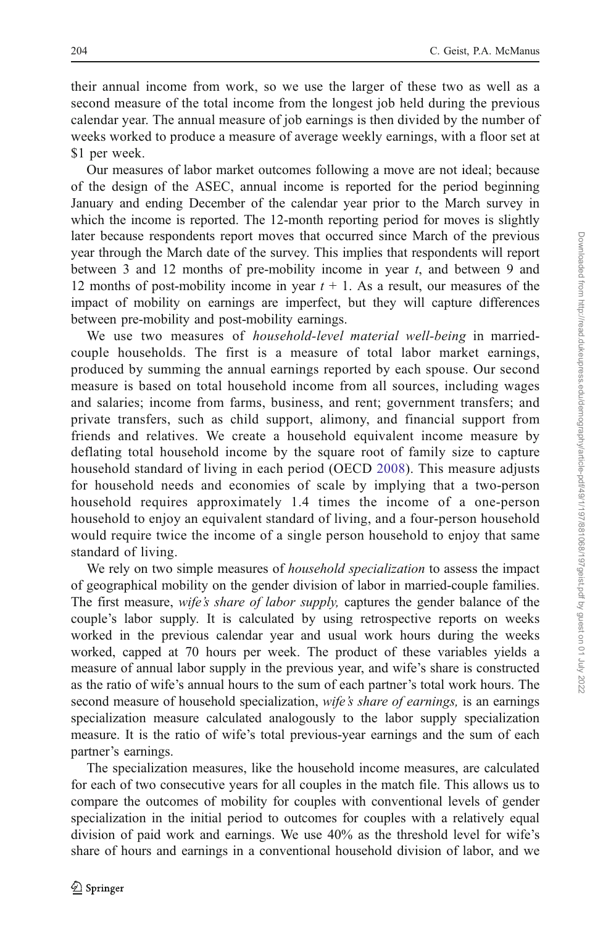their annual income from work, so we use the larger of these two as well as a second measure of the total income from the longest job held during the previous calendar year. The annual measure of job earnings is then divided by the number of weeks worked to produce a measure of average weekly earnings, with a floor set at \$1 per week.

Our measures of labor market outcomes following a move are not ideal; because of the design of the ASEC, annual income is reported for the period beginning January and ending December of the calendar year prior to the March survey in which the income is reported. The 12-month reporting period for moves is slightly later because respondents report moves that occurred since March of the previous year through the March date of the survey. This implies that respondents will report between 3 and 12 months of pre-mobility income in year  $t$ , and between 9 and 12 months of post-mobility income in year  $t + 1$ . As a result, our measures of the impact of mobility on earnings are imperfect, but they will capture differences between pre-mobility and post-mobility earnings.

We use two measures of *household-level material well-being* in marriedcouple households. The first is a measure of total labor market earnings, produced by summing the annual earnings reported by each spouse. Our second measure is based on total household income from all sources, including wages and salaries; income from farms, business, and rent; government transfers; and private transfers, such as child support, alimony, and financial support from friends and relatives. We create a household equivalent income measure by deflating total household income by the square root of family size to capture household standard of living in each period (OECD [2008\)](#page-20-0). This measure adjusts for household needs and economies of scale by implying that a two-person household requires approximately 1.4 times the income of a one-person household to enjoy an equivalent standard of living, and a four-person household would require twice the income of a single person household to enjoy that same standard of living.

We rely on two simple measures of *household specialization* to assess the impact of geographical mobility on the gender division of labor in married-couple families. The first measure, wife's share of labor supply, captures the gender balance of the couple's labor supply. It is calculated by using retrospective reports on weeks worked in the previous calendar year and usual work hours during the weeks worked, capped at 70 hours per week. The product of these variables yields a measure of annual labor supply in the previous year, and wife's share is constructed as the ratio of wife's annual hours to the sum of each partner's total work hours. The second measure of household specialization, wife's share of earnings, is an earnings specialization measure calculated analogously to the labor supply specialization measure. It is the ratio of wife's total previous-year earnings and the sum of each partner's earnings.

The specialization measures, like the household income measures, are calculated for each of two consecutive years for all couples in the match file. This allows us to compare the outcomes of mobility for couples with conventional levels of gender specialization in the initial period to outcomes for couples with a relatively equal division of paid work and earnings. We use 40% as the threshold level for wife's share of hours and earnings in a conventional household division of labor, and we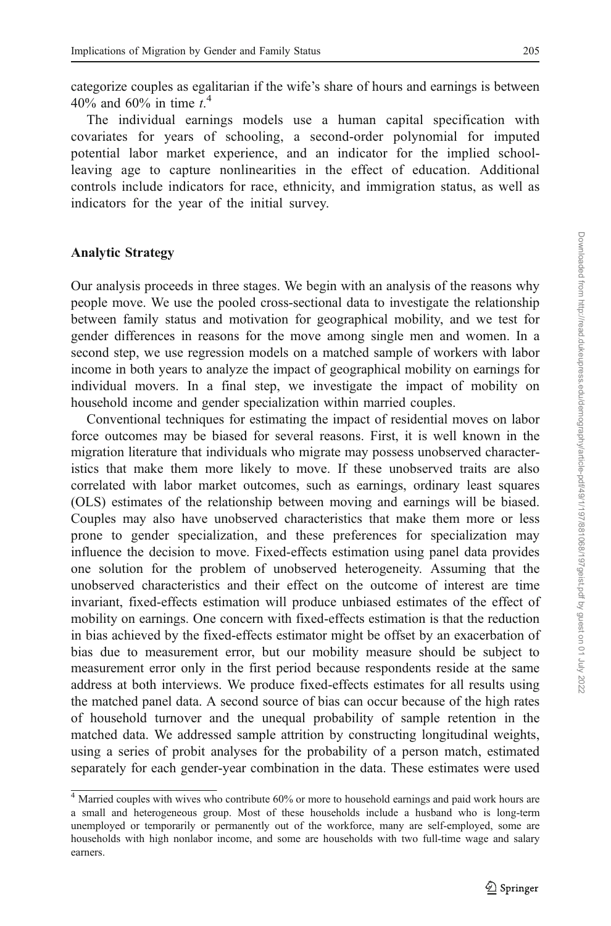categorize couples as egalitarian if the wife's share of hours and earnings is between 40% and 60% in time  $t^4$ .

The individual earnings models use a human capital specification with covariates for years of schooling, a second-order polynomial for imputed potential labor market experience, and an indicator for the implied schoolleaving age to capture nonlinearities in the effect of education. Additional controls include indicators for race, ethnicity, and immigration status, as well as indicators for the year of the initial survey.

## Analytic Strategy

Our analysis proceeds in three stages. We begin with an analysis of the reasons why people move. We use the pooled cross-sectional data to investigate the relationship between family status and motivation for geographical mobility, and we test for gender differences in reasons for the move among single men and women. In a second step, we use regression models on a matched sample of workers with labor income in both years to analyze the impact of geographical mobility on earnings for individual movers. In a final step, we investigate the impact of mobility on household income and gender specialization within married couples.

Conventional techniques for estimating the impact of residential moves on labor force outcomes may be biased for several reasons. First, it is well known in the migration literature that individuals who migrate may possess unobserved characteristics that make them more likely to move. If these unobserved traits are also correlated with labor market outcomes, such as earnings, ordinary least squares (OLS) estimates of the relationship between moving and earnings will be biased. Couples may also have unobserved characteristics that make them more or less prone to gender specialization, and these preferences for specialization may influence the decision to move. Fixed-effects estimation using panel data provides one solution for the problem of unobserved heterogeneity. Assuming that the unobserved characteristics and their effect on the outcome of interest are time invariant, fixed-effects estimation will produce unbiased estimates of the effect of mobility on earnings. One concern with fixed-effects estimation is that the reduction in bias achieved by the fixed-effects estimator might be offset by an exacerbation of bias due to measurement error, but our mobility measure should be subject to measurement error only in the first period because respondents reside at the same address at both interviews. We produce fixed-effects estimates for all results using the matched panel data. A second source of bias can occur because of the high rates of household turnover and the unequal probability of sample retention in the matched data. We addressed sample attrition by constructing longitudinal weights, using a series of probit analyses for the probability of a person match, estimated separately for each gender-year combination in the data. These estimates were used

<sup>&</sup>lt;sup>4</sup> Married couples with wives who contribute 60% or more to household earnings and paid work hours are a small and heterogeneous group. Most of these households include a husband who is long-term unemployed or temporarily or permanently out of the workforce, many are self-employed, some are households with high nonlabor income, and some are households with two full-time wage and salary earners.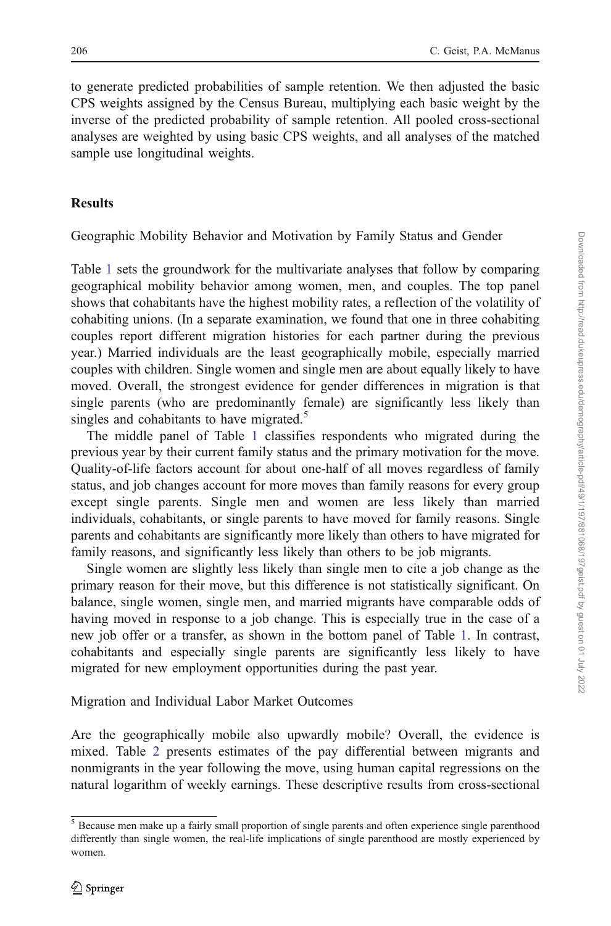to generate predicted probabilities of sample retention. We then adjusted the basic CPS weights assigned by the Census Bureau, multiplying each basic weight by the inverse of the predicted probability of sample retention. All pooled cross-sectional analyses are weighted by using basic CPS weights, and all analyses of the matched sample use longitudinal weights.

# **Results**

Geographic Mobility Behavior and Motivation by Family Status and Gender

Table [1](#page-10-0) sets the groundwork for the multivariate analyses that follow by comparing geographical mobility behavior among women, men, and couples. The top panel shows that cohabitants have the highest mobility rates, a reflection of the volatility of cohabiting unions. (In a separate examination, we found that one in three cohabiting couples report different migration histories for each partner during the previous year.) Married individuals are the least geographically mobile, especially married couples with children. Single women and single men are about equally likely to have moved. Overall, the strongest evidence for gender differences in migration is that single parents (who are predominantly female) are significantly less likely than singles and cohabitants to have migrated.<sup>5</sup>

The middle panel of Table [1](#page-10-0) classifies respondents who migrated during the previous year by their current family status and the primary motivation for the move. Quality-of-life factors account for about one-half of all moves regardless of family status, and job changes account for more moves than family reasons for every group except single parents. Single men and women are less likely than married individuals, cohabitants, or single parents to have moved for family reasons. Single parents and cohabitants are significantly more likely than others to have migrated for family reasons, and significantly less likely than others to be job migrants.

Single women are slightly less likely than single men to cite a job change as the primary reason for their move, but this difference is not statistically significant. On balance, single women, single men, and married migrants have comparable odds of having moved in response to a job change. This is especially true in the case of a new job offer or a transfer, as shown in the bottom panel of Table [1](#page-10-0). In contrast, cohabitants and especially single parents are significantly less likely to have migrated for new employment opportunities during the past year.

Migration and Individual Labor Market Outcomes

Are the geographically mobile also upwardly mobile? Overall, the evidence is mixed. Table [2](#page-11-0) presents estimates of the pay differential between migrants and nonmigrants in the year following the move, using human capital regressions on the natural logarithm of weekly earnings. These descriptive results from cross-sectional

 $\overline{s}$  Because men make up a fairly small proportion of single parents and often experience single parenthood differently than single women, the real-life implications of single parenthood are mostly experienced by women.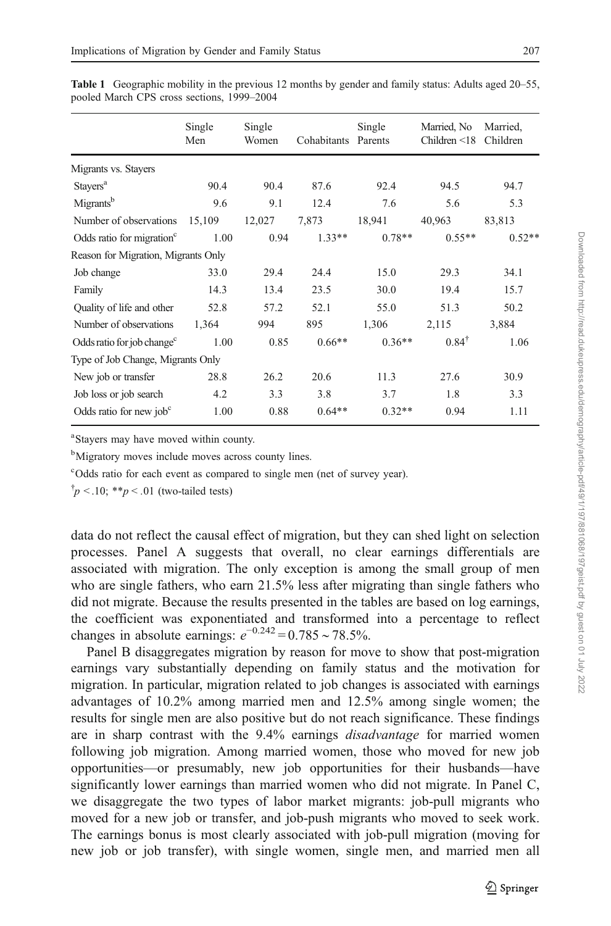|                                        | Single<br>Men | Single<br>Women | Cohabitants | Single<br>Parents | Married, No<br>Children $\leq 18$ | Married,<br>Children |  |  |
|----------------------------------------|---------------|-----------------|-------------|-------------------|-----------------------------------|----------------------|--|--|
| Migrants vs. Stayers                   |               |                 |             |                   |                                   |                      |  |  |
| Stayers <sup>a</sup>                   | 90.4          | 90.4            | 87.6        | 92.4              | 94.5                              | 94.7                 |  |  |
| Migrants <sup>b</sup>                  | 9.6           | 9.1             | 12.4        | 7.6               | 5.6                               | 5.3                  |  |  |
| Number of observations                 | 15,109        | 12,027          | 7,873       | 18,941            | 40,963                            | 83,813               |  |  |
| Odds ratio for migration <sup>c</sup>  | 1.00          | 0.94            | $1.33**$    | $0.78**$          | $0.55**$                          | $0.52**$             |  |  |
| Reason for Migration, Migrants Only    |               |                 |             |                   |                                   |                      |  |  |
| Job change                             | 33.0          | 29.4            | 24.4        | 15.0              | 29.3                              | 34.1                 |  |  |
| Family                                 | 14.3          | 13.4            | 23.5        | 30.0              | 19.4                              | 15.7                 |  |  |
| Quality of life and other              | 52.8          | 57.2            | 52.1        | 55.0              | 51.3                              | 50.2                 |  |  |
| Number of observations                 | 1,364         | 994             | 895         | 1,306             | 2,115                             | 3,884                |  |  |
| Odds ratio for job change <sup>c</sup> | 1.00          | 0.85            | $0.66**$    | $0.36**$          | $0.84^{\dagger}$                  | 1.06                 |  |  |
| Type of Job Change, Migrants Only      |               |                 |             |                   |                                   |                      |  |  |
| New job or transfer                    | 28.8          | 26.2            | 20.6        | 11.3              | 27.6                              | 30.9                 |  |  |
| Job loss or job search                 | 4.2           | 3.3             | 3.8         | 3.7               | 1.8                               | 3.3                  |  |  |
| Odds ratio for new job <sup>c</sup>    | 1.00          | 0.88            | $0.64**$    | $0.32**$          | 0.94                              | 1.11                 |  |  |

<span id="page-10-0"></span>Table 1 Geographic mobility in the previous 12 months by gender and family status: Adults aged 20–55, pooled March CPS cross sections, 1999–2004

a Stayers may have moved within county.

<sup>b</sup>Migratory moves include moves across county lines.

<sup>c</sup>Odds ratio for each event as compared to single men (net of survey year).

 $\phi$ <sup>†</sup> $p$  < .10; \*\* $p$  < .01 (two-tailed tests)

data do not reflect the causal effect of migration, but they can shed light on selection processes. Panel A suggests that overall, no clear earnings differentials are associated with migration. The only exception is among the small group of men who are single fathers, who earn 21.5% less after migrating than single fathers who did not migrate. Because the results presented in the tables are based on log earnings, the coefficient was exponentiated and transformed into a percentage to reflect changes in absolute earnings:  $e^{-0.242} = 0.785 \sim 78.5\%$ .

Panel B disaggregates migration by reason for move to show that post-migration earnings vary substantially depending on family status and the motivation for migration. In particular, migration related to job changes is associated with earnings advantages of 10.2% among married men and 12.5% among single women; the results for single men are also positive but do not reach significance. These findings are in sharp contrast with the 9.4% earnings *disadvantage* for married women following job migration. Among married women, those who moved for new job opportunities—or presumably, new job opportunities for their husbands—have significantly lower earnings than married women who did not migrate. In Panel C, we disaggregate the two types of labor market migrants: job-pull migrants who moved for a new job or transfer, and job-push migrants who moved to seek work. The earnings bonus is most clearly associated with job-pull migration (moving for new job or job transfer), with single women, single men, and married men all

Downloaded from http://read.dukeupress.edu/demography/article-pdf/49/1/197/881068/197geist.pdf by guest on 01 July 2022 Downloaded from http://read.dukeupress.edu/demography/article-pdf/49/1/197/881068/197geist.pdf by guest on 01 July 2022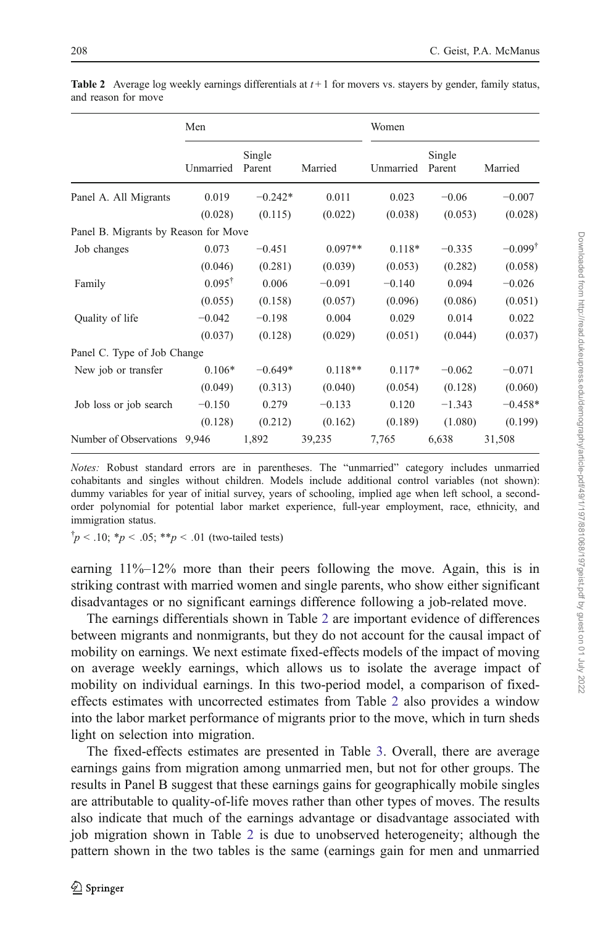|                                      | Men               |                  |           | Women     |                  |                    |
|--------------------------------------|-------------------|------------------|-----------|-----------|------------------|--------------------|
|                                      | Unmarried         | Single<br>Parent | Married   | Unmarried | Single<br>Parent | Married            |
| Panel A. All Migrants                | 0.019             | $-0.242*$        | 0.011     | 0.023     | $-0.06$          | $-0.007$           |
|                                      | (0.028)           | (0.115)          | (0.022)   | (0.038)   | (0.053)          | (0.028)            |
| Panel B. Migrants by Reason for Move |                   |                  |           |           |                  |                    |
| Job changes                          | 0.073             | $-0.451$         | $0.097**$ | $0.118*$  | $-0.335$         | $-0.099^{\dagger}$ |
|                                      | (0.046)           | (0.281)          | (0.039)   | (0.053)   | (0.282)          | (0.058)            |
| Family                               | $0.095^{\dagger}$ | 0.006            | $-0.091$  | $-0.140$  | 0.094            | $-0.026$           |
|                                      | (0.055)           | (0.158)          | (0.057)   | (0.096)   | (0.086)          | (0.051)            |
| Quality of life                      | $-0.042$          | $-0.198$         | 0.004     | 0.029     | 0.014            | 0.022              |
|                                      | (0.037)           | (0.128)          | (0.029)   | (0.051)   | (0.044)          | (0.037)            |
| Panel C. Type of Job Change          |                   |                  |           |           |                  |                    |
| New job or transfer                  | $0.106*$          | $-0.649*$        | $0.118**$ | $0.117*$  | $-0.062$         | $-0.071$           |
|                                      | (0.049)           | (0.313)          | (0.040)   | (0.054)   | (0.128)          | (0.060)            |
| Job loss or job search               | $-0.150$          | 0.279            | $-0.133$  | 0.120     | $-1.343$         | $-0.458*$          |
|                                      | (0.128)           | (0.212)          | (0.162)   | (0.189)   | (1.080)          | (0.199)            |
| Number of Observations 9,946         |                   | 1,892            | 39,235    | 7,765     | 6,638            | 31,508             |

<span id="page-11-0"></span>**Table 2** Average log weekly earnings differentials at  $t+1$  for movers vs. stayers by gender, family status, and reason for move

Notes: Robust standard errors are in parentheses. The "unmarried" category includes unmarried cohabitants and singles without children. Models include additional control variables (not shown): dummy variables for year of initial survey, years of schooling, implied age when left school, a secondorder polynomial for potential labor market experience, full-year employment, race, ethnicity, and immigration status.

<sup>†</sup> $p$  < .10; \* $p$  < .05; \*\* $p$  < .01 (two-tailed tests)

earning 11%–12% more than their peers following the move. Again, this is in striking contrast with married women and single parents, who show either significant disadvantages or no significant earnings difference following a job-related move.

The earnings differentials shown in Table 2 are important evidence of differences between migrants and nonmigrants, but they do not account for the causal impact of mobility on earnings. We next estimate fixed-effects models of the impact of moving on average weekly earnings, which allows us to isolate the average impact of mobility on individual earnings. In this two-period model, a comparison of fixedeffects estimates with uncorrected estimates from Table 2 also provides a window into the labor market performance of migrants prior to the move, which in turn sheds light on selection into migration.

The fixed-effects estimates are presented in Table [3.](#page-12-0) Overall, there are average earnings gains from migration among unmarried men, but not for other groups. The results in Panel B suggest that these earnings gains for geographically mobile singles are attributable to quality-of-life moves rather than other types of moves. The results also indicate that much of the earnings advantage or disadvantage associated with job migration shown in Table 2 is due to unobserved heterogeneity; although the pattern shown in the two tables is the same (earnings gain for men and unmarried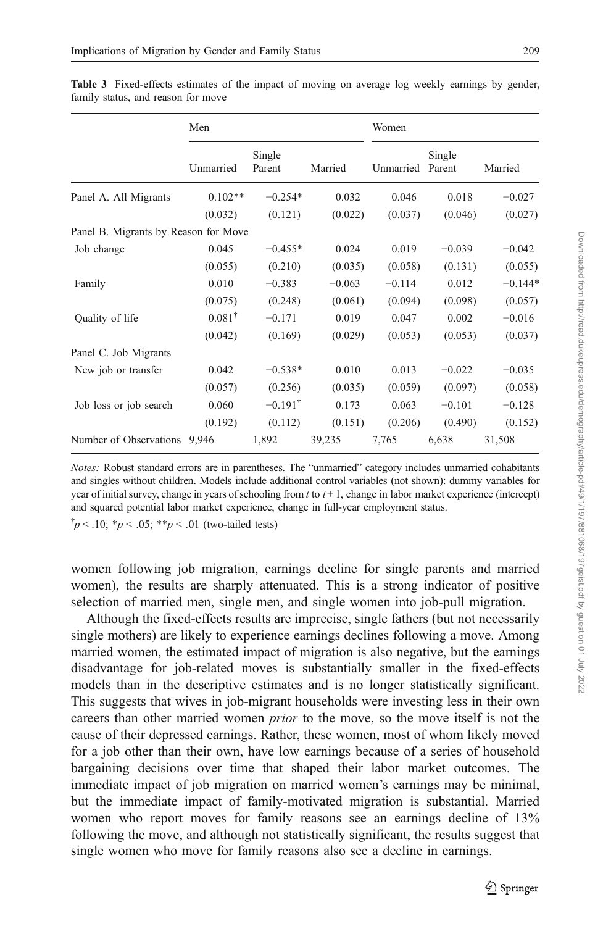| ۰,<br>$\sim$ | I<br>۰.<br>٠ |
|--------------|--------------|
|              |              |

|                                      | Men               |                       |          | Women     |                  |           |
|--------------------------------------|-------------------|-----------------------|----------|-----------|------------------|-----------|
|                                      | Unmarried         | Single<br>Parent      | Married  | Unmarried | Single<br>Parent | Married   |
| Panel A. All Migrants                | $0.102**$         | $-0.254*$             | 0.032    | 0.046     | 0.018            | $-0.027$  |
|                                      | (0.032)           | (0.121)               | (0.022)  | (0.037)   | (0.046)          | (0.027)   |
| Panel B. Migrants by Reason for Move |                   |                       |          |           |                  |           |
| Job change                           | 0.045             | $-0.455*$             | 0.024    | 0.019     | $-0.039$         | $-0.042$  |
|                                      | (0.055)           | (0.210)               | (0.035)  | (0.058)   | (0.131)          | (0.055)   |
| Family                               | 0.010             | $-0.383$              | $-0.063$ | $-0.114$  | 0.012            | $-0.144*$ |
|                                      | (0.075)           | (0.248)               | (0.061)  | (0.094)   | (0.098)          | (0.057)   |
| Quality of life                      | $0.081^{\dagger}$ | $-0.171$              | 0.019    | 0.047     | 0.002            | $-0.016$  |
|                                      | (0.042)           | (0.169)               | (0.029)  | (0.053)   | (0.053)          | (0.037)   |
| Panel C. Job Migrants                |                   |                       |          |           |                  |           |
| New job or transfer                  | 0.042             | $-0.538*$             | 0.010    | 0.013     | $-0.022$         | $-0.035$  |
|                                      | (0.057)           | (0.256)               | (0.035)  | (0.059)   | (0.097)          | (0.058)   |
| Job loss or job search               | 0.060             | $-0.191$ <sup>†</sup> | 0.173    | 0.063     | $-0.101$         | $-0.128$  |
|                                      | (0.192)           | (0.112)               | (0.151)  | (0.206)   | (0.490)          | (0.152)   |
| Number of Observations 9,946         |                   | 1,892                 | 39,235   | 7,765     | 6,638            | 31,508    |

<span id="page-12-0"></span>Table 3 Fixed-effects estimates of the impact of moving on average log weekly earnings by gender, family status, and reason for move

Notes: Robust standard errors are in parentheses. The "unmarried" category includes unmarried cohabitants and singles without children. Models include additional control variables (not shown): dummy variables for year of initial survey, change in years of schooling from t to  $t + 1$ , change in labor market experience (intercept) and squared potential labor market experience, change in full-year employment status.

 $\phi$ <sup>†</sup> $p$  < .10; \* $p$  < .05; \*\* $p$  < .01 (two-tailed tests)

women following job migration, earnings decline for single parents and married women), the results are sharply attenuated. This is a strong indicator of positive selection of married men, single men, and single women into job-pull migration.

Although the fixed-effects results are imprecise, single fathers (but not necessarily single mothers) are likely to experience earnings declines following a move. Among married women, the estimated impact of migration is also negative, but the earnings disadvantage for job-related moves is substantially smaller in the fixed-effects models than in the descriptive estimates and is no longer statistically significant. This suggests that wives in job-migrant households were investing less in their own careers than other married women prior to the move, so the move itself is not the cause of their depressed earnings. Rather, these women, most of whom likely moved for a job other than their own, have low earnings because of a series of household bargaining decisions over time that shaped their labor market outcomes. The immediate impact of job migration on married women's earnings may be minimal, but the immediate impact of family-motivated migration is substantial. Married women who report moves for family reasons see an earnings decline of 13% following the move, and although not statistically significant, the results suggest that single women who move for family reasons also see a decline in earnings.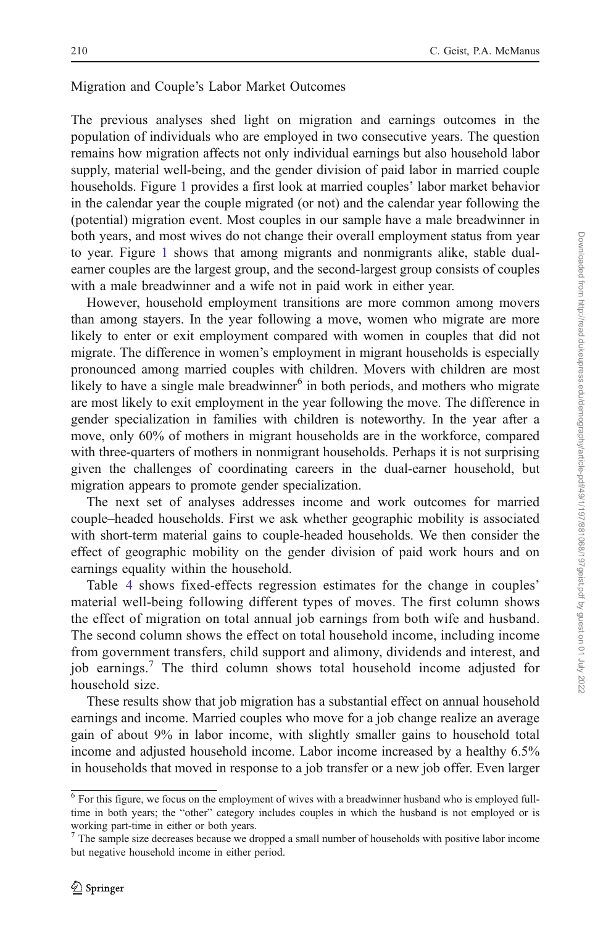## Migration and Couple's Labor Market Outcomes

The previous analyses shed light on migration and earnings outcomes in the population of individuals who are employed in two consecutive years. The question remains how migration affects not only individual earnings but also household labor supply, material well-being, and the gender division of paid labor in married couple households. Figure [1](#page-14-0) provides a first look at married couples' labor market behavior in the calendar year the couple migrated (or not) and the calendar year following the (potential) migration event. Most couples in our sample have a male breadwinner in both years, and most wives do not change their overall employment status from year to year. Figure [1](#page-14-0) shows that among migrants and nonmigrants alike, stable dualearner couples are the largest group, and the second-largest group consists of couples with a male breadwinner and a wife not in paid work in either year.

However, household employment transitions are more common among movers than among stayers. In the year following a move, women who migrate are more likely to enter or exit employment compared with women in couples that did not migrate. The difference in women's employment in migrant households is especially pronounced among married couples with children. Movers with children are most likely to have a single male breadwinner $6$  in both periods, and mothers who migrate are most likely to exit employment in the year following the move. The difference in gender specialization in families with children is noteworthy. In the year after a move, only 60% of mothers in migrant households are in the workforce, compared with three-quarters of mothers in nonmigrant households. Perhaps it is not surprising given the challenges of coordinating careers in the dual-earner household, but migration appears to promote gender specialization.

The next set of analyses addresses income and work outcomes for married couple–headed households. First we ask whether geographic mobility is associated with short-term material gains to couple-headed households. We then consider the effect of geographic mobility on the gender division of paid work hours and on earnings equality within the household.

Table [4](#page-14-0) shows fixed-effects regression estimates for the change in couples' material well-being following different types of moves. The first column shows the effect of migration on total annual job earnings from both wife and husband. The second column shows the effect on total household income, including income from government transfers, child support and alimony, dividends and interest, and job earnings.<sup>7</sup> The third column shows total household income adjusted for household size.

These results show that job migration has a substantial effect on annual household earnings and income. Married couples who move for a job change realize an average gain of about 9% in labor income, with slightly smaller gains to household total income and adjusted household income. Labor income increased by a healthy 6.5% in households that moved in response to a job transfer or a new job offer. Even larger

<sup>&</sup>lt;sup>6</sup> For this figure, we focus on the employment of wives with a breadwinner husband who is employed fulltime in both years; the "other" category includes couples in which the husband is not employed or is working part-time in either or both years.

 $<sup>7</sup>$  The sample size decreases because we dropped a small number of households with positive labor income</sup> but negative household income in either period.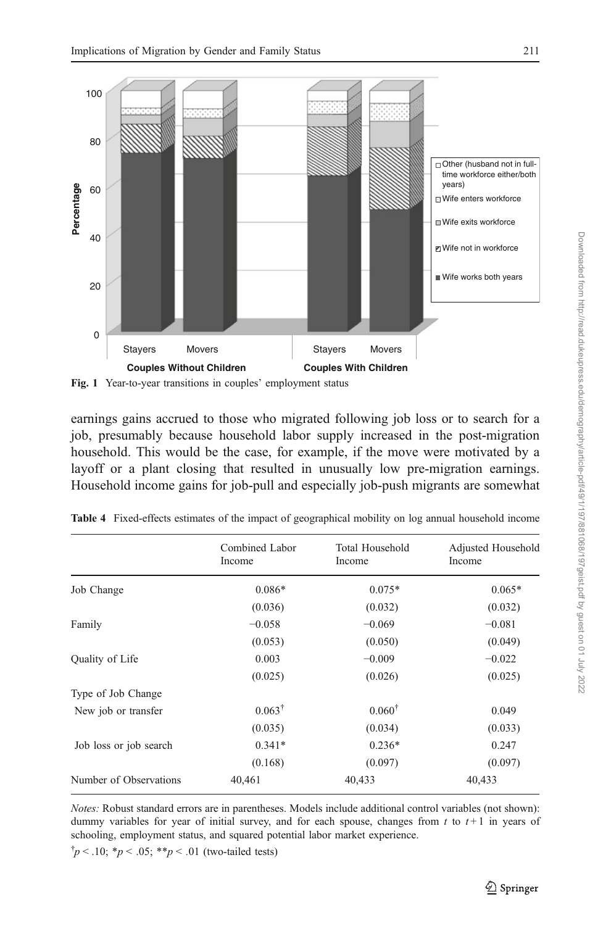<span id="page-14-0"></span>

Fig. 1 Year-to-year transitions in couples' employment status

earnings gains accrued to those who migrated following job loss or to search for a job, presumably because household labor supply increased in the post-migration household. This would be the case, for example, if the move were motivated by a layoff or a plant closing that resulted in unusually low pre-migration earnings. Household income gains for job-pull and especially job-push migrants are somewhat

|                        | Combined Labor<br>Income | Total Household<br>Income | Adjusted Household<br>Income |
|------------------------|--------------------------|---------------------------|------------------------------|
| Job Change             | $0.086*$                 | $0.075*$                  | $0.065*$                     |
|                        | (0.036)                  | (0.032)                   | (0.032)                      |
| Family                 | $-0.058$                 | $-0.069$                  | $-0.081$                     |
|                        | (0.053)                  | (0.050)                   | (0.049)                      |
| Quality of Life        | 0.003                    | $-0.009$                  | $-0.022$                     |
|                        | (0.025)                  | (0.026)                   | (0.025)                      |
| Type of Job Change     |                          |                           |                              |
| New job or transfer    | $0.063^{\dagger}$        | $0.060^{\dagger}$         | 0.049                        |
|                        | (0.035)                  | (0.034)                   | (0.033)                      |
| Job loss or job search | $0.341*$                 | $0.236*$                  | 0.247                        |
|                        | (0.168)                  | (0.097)                   | (0.097)                      |
| Number of Observations | 40,461                   | 40,433                    | 40,433                       |

Table 4 Fixed-effects estimates of the impact of geographical mobility on log annual household income

Notes: Robust standard errors are in parentheses. Models include additional control variables (not shown): dummy variables for year of initial survey, and for each spouse, changes from t to  $t+1$  in years of schooling, employment status, and squared potential labor market experience.

 $\phi$ <sup>+</sup> $p$  < .10; \* $p$  < .05; \*\* $p$  < .01 (two-tailed tests)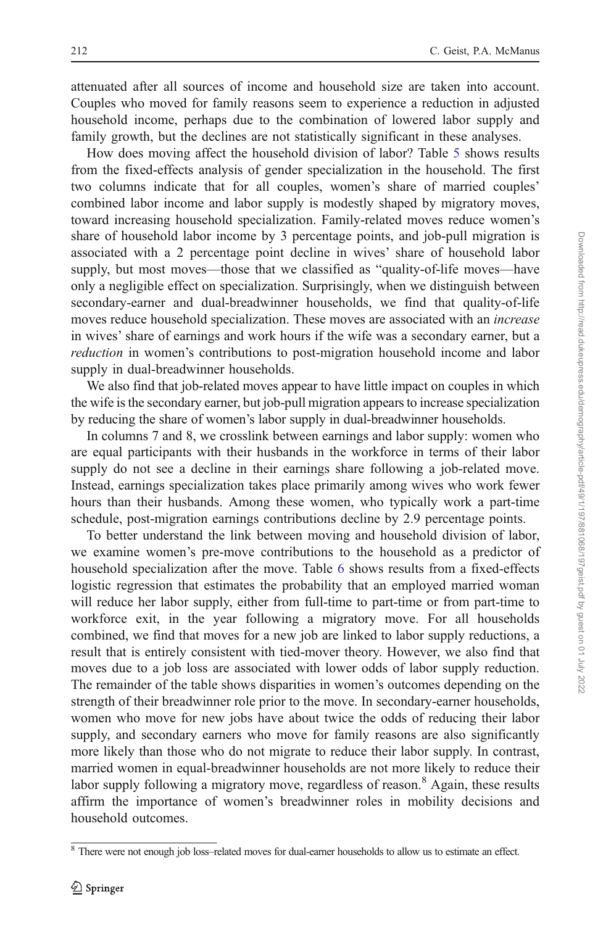attenuated after all sources of income and household size are taken into account. Couples who moved for family reasons seem to experience a reduction in adjusted household income, perhaps due to the combination of lowered labor supply and family growth, but the declines are not statistically significant in these analyses.

How does moving affect the household division of labor? Table [5](#page-16-0) shows results from the fixed-effects analysis of gender specialization in the household. The first two columns indicate that for all couples, women's share of married couples' combined labor income and labor supply is modestly shaped by migratory moves, toward increasing household specialization. Family-related moves reduce women's share of household labor income by 3 percentage points, and job-pull migration is associated with a 2 percentage point decline in wives' share of household labor supply, but most moves—those that we classified as "quality-of-life moves—have only a negligible effect on specialization. Surprisingly, when we distinguish between secondary-earner and dual-breadwinner households, we find that quality-of-life moves reduce household specialization. These moves are associated with an *increase* in wives' share of earnings and work hours if the wife was a secondary earner, but a reduction in women's contributions to post-migration household income and labor supply in dual-breadwinner households.

We also find that job-related moves appear to have little impact on couples in which the wife is the secondary earner, but job-pull migration appears to increase specialization by reducing the share of women's labor supply in dual-breadwinner households.

In columns 7 and 8, we crosslink between earnings and labor supply: women who are equal participants with their husbands in the workforce in terms of their labor supply do not see a decline in their earnings share following a job-related move. Instead, earnings specialization takes place primarily among wives who work fewer hours than their husbands. Among these women, who typically work a part-time schedule, post-migration earnings contributions decline by 2.9 percentage points.

To better understand the link between moving and household division of labor, we examine women's pre-move contributions to the household as a predictor of household specialization after the move. Table [6](#page-17-0) shows results from a fixed-effects logistic regression that estimates the probability that an employed married woman will reduce her labor supply, either from full-time to part-time or from part-time to workforce exit, in the year following a migratory move. For all households combined, we find that moves for a new job are linked to labor supply reductions, a result that is entirely consistent with tied-mover theory. However, we also find that moves due to a job loss are associated with lower odds of labor supply reduction. The remainder of the table shows disparities in women's outcomes depending on the strength of their breadwinner role prior to the move. In secondary-earner households, women who move for new jobs have about twice the odds of reducing their labor supply, and secondary earners who move for family reasons are also significantly more likely than those who do not migrate to reduce their labor supply. In contrast, married women in equal-breadwinner households are not more likely to reduce their labor supply following a migratory move, regardless of reason.<sup>8</sup> Again, these results affirm the importance of women's breadwinner roles in mobility decisions and household outcomes.

<sup>8</sup> There were not enough job loss–related moves for dual-earner households to allow us to estimate an effect.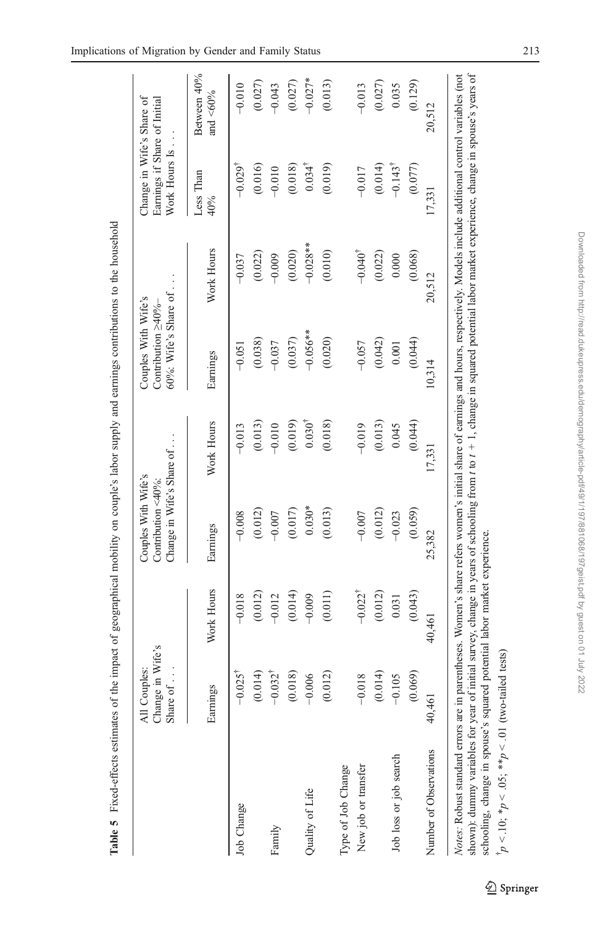<span id="page-16-0"></span>

|                        | Change in Wife's<br>All Couples:<br>of $\cdot$ .<br>Share |                    | Change in Wife's Share of<br>Couples With Wife's<br>Contribution $\langle 40^\circ \rangle$ <sub>6</sub> : |                 | 60%: Wife's Share of<br>Couples With Wife's<br>Contribution $\geq 40\%$ |                    | Change in Wife's Share of<br>Earnings if Share of Initial<br>Work Hours Is. |                             |
|------------------------|-----------------------------------------------------------|--------------------|------------------------------------------------------------------------------------------------------------|-----------------|-------------------------------------------------------------------------|--------------------|-----------------------------------------------------------------------------|-----------------------------|
|                        | Earnings                                                  | Work Hours         | Earnings                                                                                                   | Work Hours      | Earnings                                                                | Work Hours         | Less Than<br>40%                                                            | Between 40%<br>and $< 60\%$ |
| Job Change             | $-0.025^{\dagger}$                                        | $-0.018$           | $-0.008$                                                                                                   | $-0.013$        | $-0.051$                                                                | $-0.037$           | $-0.029$ <sup>†</sup>                                                       | $-0.010$                    |
|                        | (0.014)                                                   | (0.012)            | (0.012)                                                                                                    | (0.013)         | (0.038)                                                                 | (0.022)            | (0.016)                                                                     | (0.027)                     |
| Family                 | $-0.032$ <sup>†</sup>                                     | $-0.012$           | $-0.007$                                                                                                   | $-0.010$        | $-0.037$                                                                | $-0.009$           | $-0.010$                                                                    | $-0.043$                    |
|                        | (0.018)                                                   | (0.014)            | (0.017)                                                                                                    | (0.019)         | (0.037)                                                                 | (0.020)            | (0.018)                                                                     | (0.027)                     |
| Quality of Life        | $-0.006$                                                  | $-0.009$           | $0.030*$                                                                                                   | $0.030^\dagger$ | $-0.056**$                                                              | $-0.028**$         | $0.034^{\dagger}$                                                           | $-0.027*$                   |
|                        | (0.012)                                                   | (0.011)            | (0.013)                                                                                                    | (0.018)         | (0.020)                                                                 | (0.010)            | (0.019)                                                                     | (0.013)                     |
| Type of Job Change     |                                                           |                    |                                                                                                            |                 |                                                                         |                    |                                                                             |                             |
| New job or transfer    | $-0.018$                                                  | $-0.022^{\dagger}$ | $-0.007$                                                                                                   | $-0.019$        | $-0.057$                                                                | $-0.040^{\dagger}$ | $-0.017$                                                                    | $-0.013$                    |
|                        | (0.014)                                                   | (0.012)            | (0.012)                                                                                                    | (0.013)         | (0.042)                                                                 | (0.022)            | (0.014)                                                                     | (0.027)                     |
| Job loss or job search | $-0.105$                                                  | 0.031              | $-0.023$                                                                                                   | 0.045           | 0.001                                                                   | 0.000              | $-0.143$ <sup>†</sup>                                                       | 0.035                       |
|                        | (0.069)                                                   | (0.043)            | (0.059)                                                                                                    | (0.044)         | (0.044)                                                                 | (0.068)            | (0.077)                                                                     | (0.129)                     |
| Number of Observations | 40,461                                                    | 40,461             | 25,382                                                                                                     | 17,331          | 10,314                                                                  | 20,512             | 17,331                                                                      | 20,512                      |

shown); dummy variables for year of initial survey, change in years of schooling from  $t$  to  $t + 1$ , change in squared potential labor market experience, change in spouse's years of shown): dummy variables for year of initial survey, change in years of schooling from t to t + 1, change in squared potential labor market experience, change in spouse's years of schooling, change in spouse's squared potential labor market experience. schooling, change in spouse's squared potential labor market experience.

Downloaded from http://read.dukeupress.edu/demography/article-pdf/49/1/197/881068/197geist.pdf by guest on 01 July 2022

Downloaded from http://read.dukeupress.edu/demography/article-pdf/49/1/197/881068/197geist.pdf by guest on 01 July 2022

 $p < 10;$  \* $p < .05;$  \*\* $p < .01$  (two-tailed tests)

†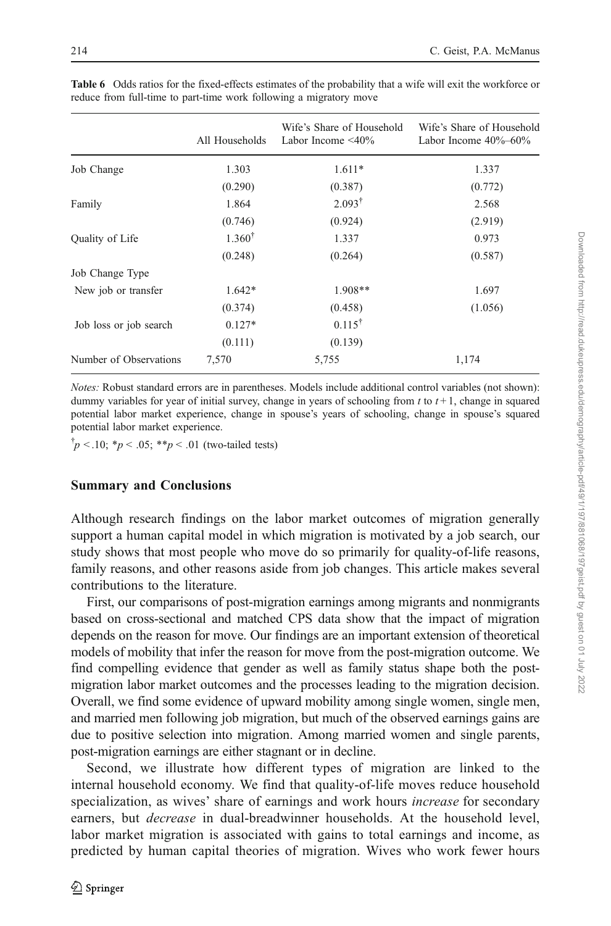|                        | All Households    | Wife's Share of Household<br>Labor Income $\leq 40\%$ | Wife's Share of Household<br>Labor Income $40\% - 60\%$ |
|------------------------|-------------------|-------------------------------------------------------|---------------------------------------------------------|
| Job Change             | 1.303             | $1.611*$                                              | 1.337                                                   |
|                        | (0.290)           | (0.387)                                               | (0.772)                                                 |
| Family                 | 1.864             | $2.093^{\dagger}$                                     | 2.568                                                   |
|                        | (0.746)           | (0.924)                                               | (2.919)                                                 |
| Quality of Life        | $1.360^{\dagger}$ | 1.337                                                 | 0.973                                                   |
|                        | (0.248)           | (0.264)                                               | (0.587)                                                 |
| Job Change Type        |                   |                                                       |                                                         |
| New job or transfer    | $1.642*$          | $1.908**$                                             | 1.697                                                   |
|                        | (0.374)           | (0.458)                                               | (1.056)                                                 |
| Job loss or job search | $0.127*$          | $0.115^{\dagger}$                                     |                                                         |
|                        | (0.111)           | (0.139)                                               |                                                         |
| Number of Observations | 7,570             | 5,755                                                 | 1,174                                                   |

<span id="page-17-0"></span>Table 6 Odds ratios for the fixed-effects estimates of the probability that a wife will exit the workforce or reduce from full-time to part-time work following a migratory move

Notes: Robust standard errors are in parentheses. Models include additional control variables (not shown): dummy variables for year of initial survey, change in years of schooling from t to  $t + 1$ , change in squared potential labor market experience, change in spouse's years of schooling, change in spouse's squared potential labor market experience.

 $\phi$  < .10; \*p < .05; \*\*p < .01 (two-tailed tests)

# Summary and Conclusions

Although research findings on the labor market outcomes of migration generally support a human capital model in which migration is motivated by a job search, our study shows that most people who move do so primarily for quality-of-life reasons, family reasons, and other reasons aside from job changes. This article makes several contributions to the literature.

First, our comparisons of post-migration earnings among migrants and nonmigrants based on cross-sectional and matched CPS data show that the impact of migration depends on the reason for move. Our findings are an important extension of theoretical models of mobility that infer the reason for move from the post-migration outcome. We find compelling evidence that gender as well as family status shape both the postmigration labor market outcomes and the processes leading to the migration decision. Overall, we find some evidence of upward mobility among single women, single men, and married men following job migration, but much of the observed earnings gains are due to positive selection into migration. Among married women and single parents, post-migration earnings are either stagnant or in decline.

Second, we illustrate how different types of migration are linked to the internal household economy. We find that quality-of-life moves reduce household specialization, as wives' share of earnings and work hours increase for secondary earners, but *decrease* in dual-breadwinner households. At the household level, labor market migration is associated with gains to total earnings and income, as predicted by human capital theories of migration. Wives who work fewer hours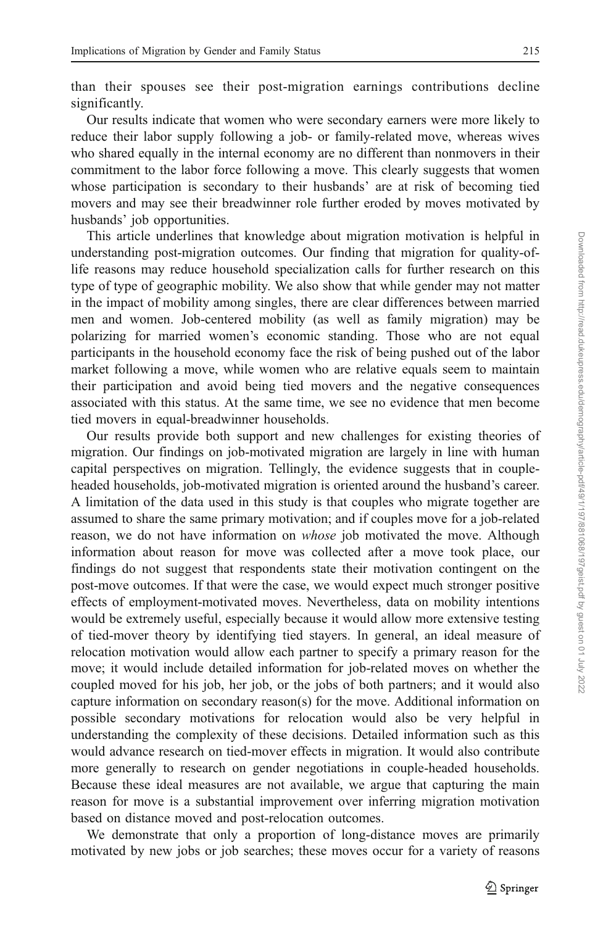than their spouses see their post-migration earnings contributions decline significantly.

Our results indicate that women who were secondary earners were more likely to reduce their labor supply following a job- or family-related move, whereas wives who shared equally in the internal economy are no different than nonmovers in their commitment to the labor force following a move. This clearly suggests that women whose participation is secondary to their husbands' are at risk of becoming tied movers and may see their breadwinner role further eroded by moves motivated by husbands' job opportunities.

This article underlines that knowledge about migration motivation is helpful in understanding post-migration outcomes. Our finding that migration for quality-oflife reasons may reduce household specialization calls for further research on this type of type of geographic mobility. We also show that while gender may not matter in the impact of mobility among singles, there are clear differences between married men and women. Job-centered mobility (as well as family migration) may be polarizing for married women's economic standing. Those who are not equal participants in the household economy face the risk of being pushed out of the labor market following a move, while women who are relative equals seem to maintain their participation and avoid being tied movers and the negative consequences associated with this status. At the same time, we see no evidence that men become tied movers in equal-breadwinner households.

Our results provide both support and new challenges for existing theories of migration. Our findings on job-motivated migration are largely in line with human capital perspectives on migration. Tellingly, the evidence suggests that in coupleheaded households, job-motivated migration is oriented around the husband's career. A limitation of the data used in this study is that couples who migrate together are assumed to share the same primary motivation; and if couples move for a job-related reason, we do not have information on *whose* job motivated the move. Although information about reason for move was collected after a move took place, our findings do not suggest that respondents state their motivation contingent on the post-move outcomes. If that were the case, we would expect much stronger positive effects of employment-motivated moves. Nevertheless, data on mobility intentions would be extremely useful, especially because it would allow more extensive testing of tied-mover theory by identifying tied stayers. In general, an ideal measure of relocation motivation would allow each partner to specify a primary reason for the move; it would include detailed information for job-related moves on whether the coupled moved for his job, her job, or the jobs of both partners; and it would also capture information on secondary reason(s) for the move. Additional information on possible secondary motivations for relocation would also be very helpful in understanding the complexity of these decisions. Detailed information such as this would advance research on tied-mover effects in migration. It would also contribute more generally to research on gender negotiations in couple-headed households. Because these ideal measures are not available, we argue that capturing the main reason for move is a substantial improvement over inferring migration motivation based on distance moved and post-relocation outcomes.

We demonstrate that only a proportion of long-distance moves are primarily motivated by new jobs or job searches; these moves occur for a variety of reasons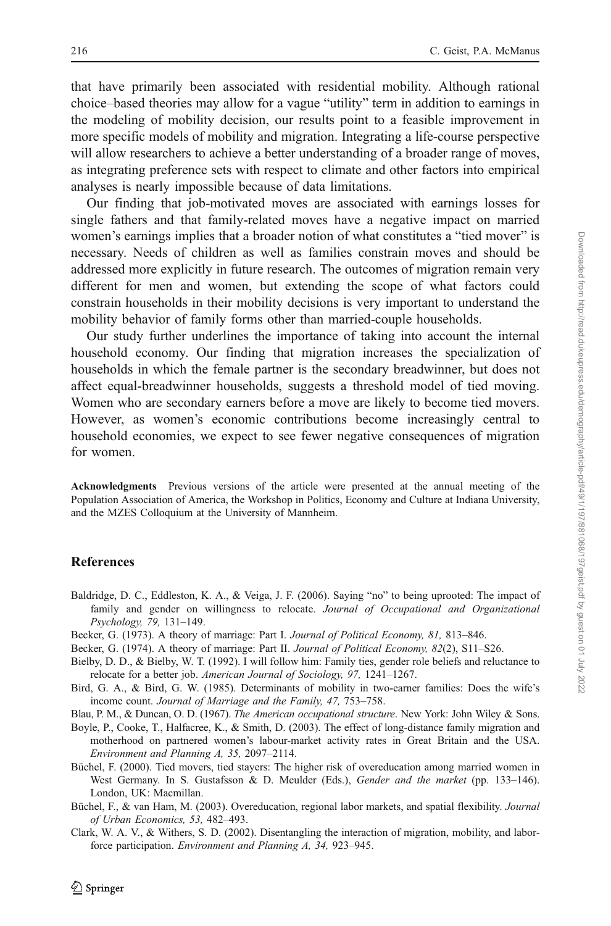<span id="page-19-0"></span>that have primarily been associated with residential mobility. Although rational choice–based theories may allow for a vague "utility" term in addition to earnings in the modeling of mobility decision, our results point to a feasible improvement in more specific models of mobility and migration. Integrating a life-course perspective will allow researchers to achieve a better understanding of a broader range of moves, as integrating preference sets with respect to climate and other factors into empirical analyses is nearly impossible because of data limitations.

Our finding that job-motivated moves are associated with earnings losses for single fathers and that family-related moves have a negative impact on married women's earnings implies that a broader notion of what constitutes a "tied mover" is necessary. Needs of children as well as families constrain moves and should be addressed more explicitly in future research. The outcomes of migration remain very different for men and women, but extending the scope of what factors could constrain households in their mobility decisions is very important to understand the mobility behavior of family forms other than married-couple households.

Our study further underlines the importance of taking into account the internal household economy. Our finding that migration increases the specialization of households in which the female partner is the secondary breadwinner, but does not affect equal-breadwinner households, suggests a threshold model of tied moving. Women who are secondary earners before a move are likely to become tied movers. However, as women's economic contributions become increasingly central to household economies, we expect to see fewer negative consequences of migration for women.

Acknowledgments Previous versions of the article were presented at the annual meeting of the Population Association of America, the Workshop in Politics, Economy and Culture at Indiana University, and the MZES Colloquium at the University of Mannheim.

## References

- Baldridge, D. C., Eddleston, K. A., & Veiga, J. F. (2006). Saying "no" to being uprooted: The impact of family and gender on willingness to relocate. Journal of Occupational and Organizational Psychology, 79, 131–149.
- Becker, G. (1973). A theory of marriage: Part I. Journal of Political Economy, 81, 813–846.
- Becker, G. (1974). A theory of marriage: Part II. Journal of Political Economy, 82(2), S11–S26.
- Bielby, D. D., & Bielby, W. T. (1992). I will follow him: Family ties, gender role beliefs and reluctance to relocate for a better job. American Journal of Sociology, 97, 1241–1267.

Bird, G. A., & Bird, G. W. (1985). Determinants of mobility in two-earner families: Does the wife's income count. Journal of Marriage and the Family, 47, 753–758.

Blau, P. M., & Duncan, O. D. (1967). The American occupational structure. New York: John Wiley & Sons.

- Boyle, P., Cooke, T., Halfacree, K., & Smith, D. (2003). The effect of long-distance family migration and motherhood on partnered women's labour-market activity rates in Great Britain and the USA. Environment and Planning A, 35, 2097–2114.
- Büchel, F. (2000). Tied movers, tied stayers: The higher risk of overeducation among married women in West Germany. In S. Gustafsson & D. Meulder (Eds.), Gender and the market (pp. 133–146). London, UK: Macmillan.
- Büchel, F., & van Ham, M. (2003). Overeducation, regional labor markets, and spatial flexibility. *Journal* of Urban Economics, 53, 482–493.
- Clark, W. A. V., & Withers, S. D. (2002). Disentangling the interaction of migration, mobility, and laborforce participation. Environment and Planning A, 34, 923–945.